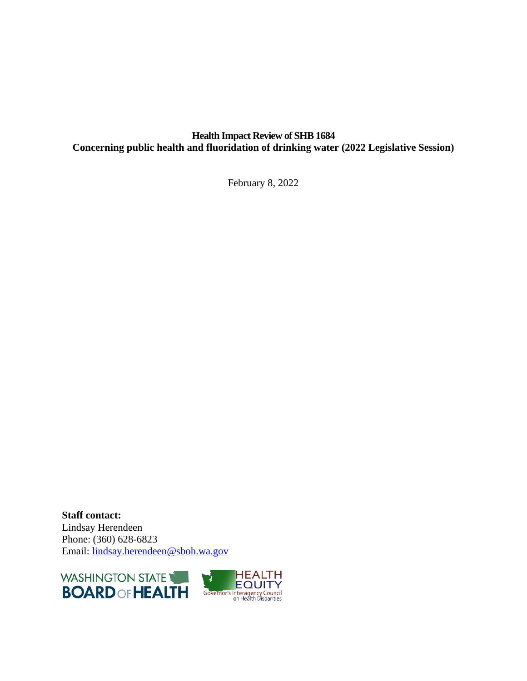### **Health Impact Review of SHB 1684 Concerning public health and fluoridation of drinking water (2022 Legislative Session)**

February 8, 2022

**Staff contact:** Lindsay Herendeen Phone: (360) 628-6823 Email: [lindsay.herendeen@sboh.wa.gov](mailto:lindsay.herendeen@sboh.wa.gov)



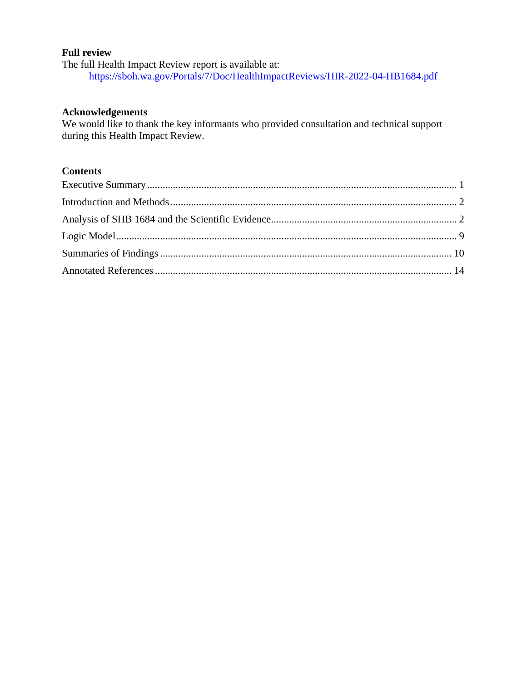#### **Full review**

The full Health Impact Review report is available at: <https://sboh.wa.gov/Portals/7/Doc/HealthImpactReviews/HIR-2022-04-HB1684.pdf>

#### **Acknowledgements**

We would like to thank the key informants who provided consultation and technical support during this Health Impact Review.

### **Contents**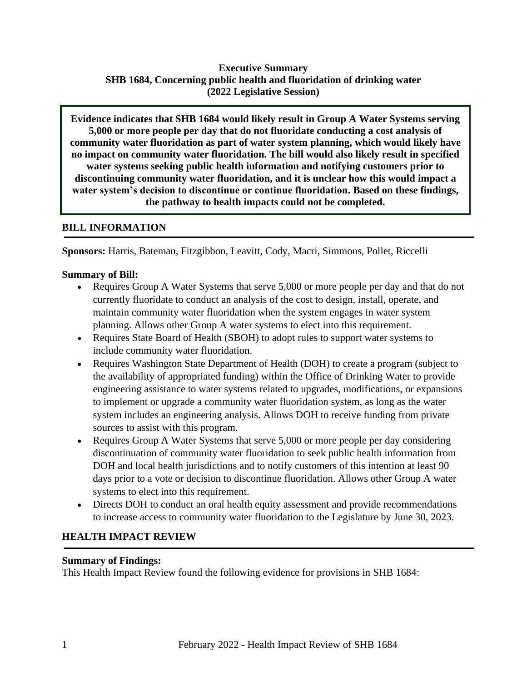### **Executive Summary SHB 1684, Concerning public health and fluoridation of drinking water (2022 Legislative Session)**

**Evidence indicates that SHB 1684 would likely result in Group A Water Systems serving 5,000 or more people per day that do not fluoridate conducting a cost analysis of community water fluoridation as part of water system planning, which would likely have no impact on community water fluoridation. The bill would also likely result in specified water systems seeking public health information and notifying customers prior to discontinuing community water fluoridation, and it is unclear how this would impact a water system's decision to discontinue or continue fluoridation. Based on these findings, the pathway to health impacts could not be completed.**

### **BILL INFORMATION**

**Sponsors:** Harris, Bateman, Fitzgibbon, Leavitt, Cody, Macri, Simmons, Pollet, Riccelli

### **Summary of Bill:**

- Requires Group A Water Systems that serve 5,000 or more people per day and that do not currently fluoridate to conduct an analysis of the cost to design, install, operate, and maintain community water fluoridation when the system engages in water system planning. Allows other Group A water systems to elect into this requirement.
- Requires State Board of Health (SBOH) to adopt rules to support water systems to include community water fluoridation.
- Requires Washington State Department of Health (DOH) to create a program (subject to the availability of appropriated funding) within the Office of Drinking Water to provide engineering assistance to water systems related to upgrades, modifications, or expansions to implement or upgrade a community water fluoridation system, as long as the water system includes an engineering analysis. Allows DOH to receive funding from private sources to assist with this program.
- Requires Group A Water Systems that serve 5,000 or more people per day considering discontinuation of community water fluoridation to seek public health information from DOH and local health jurisdictions and to notify customers of this intention at least 90 days prior to a vote or decision to discontinue fluoridation. Allows other Group A water systems to elect into this requirement.
- Directs DOH to conduct an oral health equity assessment and provide recommendations to increase access to community water fluoridation to the Legislature by June 30, 2023.

### **HEALTH IMPACT REVIEW**

#### **Summary of Findings:**

This Health Impact Review found the following evidence for provisions in SHB 1684: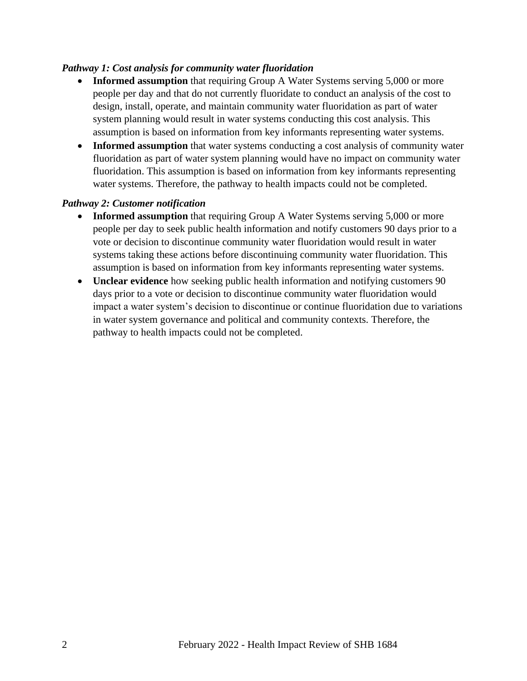#### *Pathway 1: Cost analysis for community water fluoridation*

- **Informed assumption** that requiring Group A Water Systems serving 5,000 or more people per day and that do not currently fluoridate to conduct an analysis of the cost to design, install, operate, and maintain community water fluoridation as part of water system planning would result in water systems conducting this cost analysis. This assumption is based on information from key informants representing water systems.
- **Informed assumption** that water systems conducting a cost analysis of community water fluoridation as part of water system planning would have no impact on community water fluoridation. This assumption is based on information from key informants representing water systems. Therefore, the pathway to health impacts could not be completed.

#### <span id="page-3-0"></span>*Pathway 2: Customer notification*

- **Informed assumption** that requiring Group A Water Systems serving 5,000 or more people per day to seek public health information and notify customers 90 days prior to a vote or decision to discontinue community water fluoridation would result in water systems taking these actions before discontinuing community water fluoridation. This assumption is based on information from key informants representing water systems.
- **Unclear evidence** how seeking public health information and notifying customers 90 days prior to a vote or decision to discontinue community water fluoridation would impact a water system's decision to discontinue or continue fluoridation due to variations in water system governance and political and community contexts. Therefore, the pathway to health impacts could not be completed.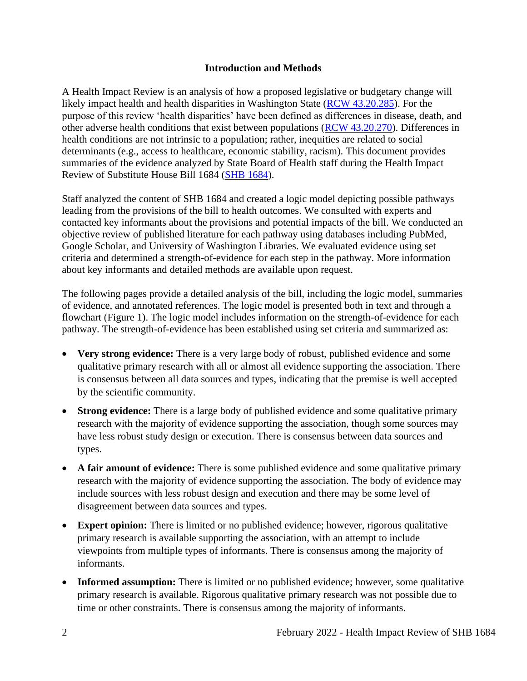#### **Introduction and Methods**

<span id="page-4-0"></span>A Health Impact Review is an analysis of how a proposed legislative or budgetary change will likely impact health and health disparities in Washington State [\(RCW 43.20.285\)](http://apps.leg.wa.gov/rcw/default.aspx?cite=43.20.285). For the purpose of this review 'health disparities' have been defined as differences in disease, death, and other adverse health conditions that exist between populations [\(RCW 43.20.270\)](http://apps.leg.wa.gov/rcw/default.aspx?cite=43.20.270). Differences in health conditions are not intrinsic to a population; rather, inequities are related to social determinants (e.g., access to healthcare, economic stability, racism). This document provides summaries of the evidence analyzed by State Board of Health staff during the Health Impact Review of Substitute House Bill 1684 [\(SHB 1684\)](https://app.leg.wa.gov/billsummary?BillNumber=1684&Year=2021&Initiative=false).

Staff analyzed the content of SHB 1684 and created a logic model depicting possible pathways leading from the provisions of the bill to health outcomes. We consulted with experts and contacted key informants about the provisions and potential impacts of the bill. We conducted an objective review of published literature for each pathway using databases including PubMed, Google Scholar, and University of Washington Libraries. We evaluated evidence using set criteria and determined a strength-of-evidence for each step in the pathway. More information about key informants and detailed methods are available upon request.

The following pages provide a detailed analysis of the bill, including the logic model, summaries of evidence, and annotated references. The logic model is presented both in text and through a flowchart (Figure 1). The logic model includes information on the strength-of-evidence for each pathway. The strength-of-evidence has been established using set criteria and summarized as:

- **Very strong evidence:** There is a very large body of robust, published evidence and some qualitative primary research with all or almost all evidence supporting the association. There is consensus between all data sources and types, indicating that the premise is well accepted by the scientific community.
- **Strong evidence:** There is a large body of published evidence and some qualitative primary research with the majority of evidence supporting the association, though some sources may have less robust study design or execution. There is consensus between data sources and types.
- A fair amount of evidence: There is some published evidence and some qualitative primary research with the majority of evidence supporting the association. The body of evidence may include sources with less robust design and execution and there may be some level of disagreement between data sources and types.
- **Expert opinion:** There is limited or no published evidence; however, rigorous qualitative primary research is available supporting the association, with an attempt to include viewpoints from multiple types of informants. There is consensus among the majority of informants.
- **Informed assumption:** There is limited or no published evidence; however, some qualitative primary research is available. Rigorous qualitative primary research was not possible due to time or other constraints. There is consensus among the majority of informants.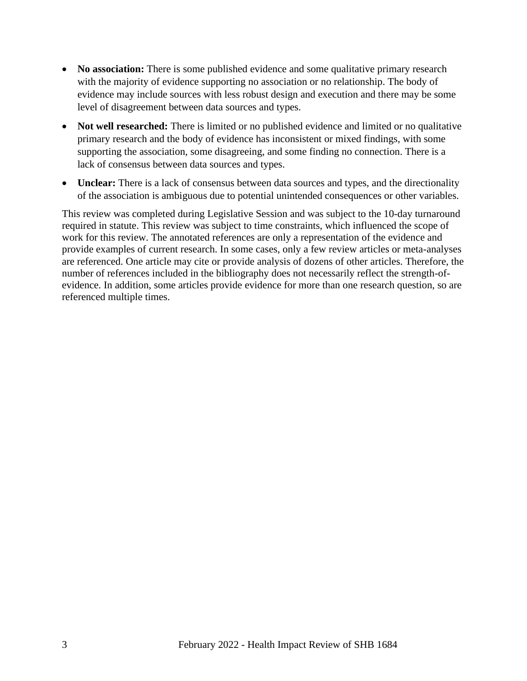- **No association:** There is some published evidence and some qualitative primary research with the majority of evidence supporting no association or no relationship. The body of evidence may include sources with less robust design and execution and there may be some level of disagreement between data sources and types.
- **Not well researched:** There is limited or no published evidence and limited or no qualitative primary research and the body of evidence has inconsistent or mixed findings, with some supporting the association, some disagreeing, and some finding no connection. There is a lack of consensus between data sources and types.
- **Unclear:** There is a lack of consensus between data sources and types, and the directionality of the association is ambiguous due to potential unintended consequences or other variables.

This review was completed during Legislative Session and was subject to the 10-day turnaround required in statute. This review was subject to time constraints, which influenced the scope of work for this review. The annotated references are only a representation of the evidence and provide examples of current research. In some cases, only a few review articles or meta-analyses are referenced. One article may cite or provide analysis of dozens of other articles. Therefore, the number of references included in the bibliography does not necessarily reflect the strength-ofevidence. In addition, some articles provide evidence for more than one research question, so are referenced multiple times.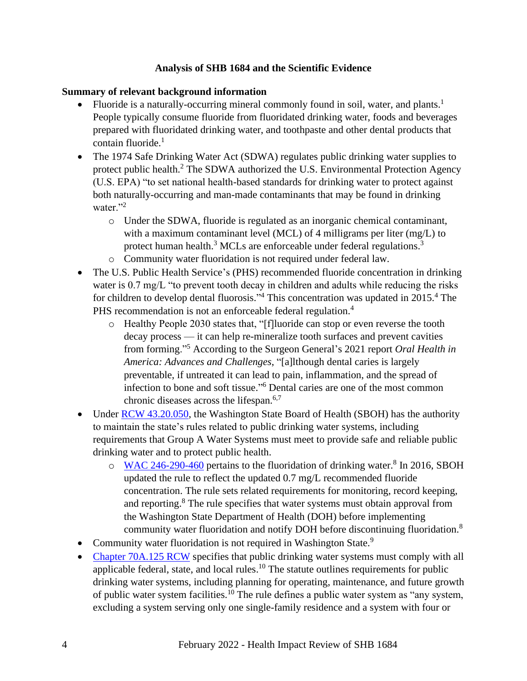### **Analysis of SHB 1684 and the Scientific Evidence**

### **Summary of relevant background information**

- Fluoride is a naturally-occurring mineral commonly found in soil, water, and plants.<sup>1</sup> People typically consume fluoride from fluoridated drinking water, foods and beverages prepared with fluoridated drinking water, and toothpaste and other dental products that contain fluoride.<sup>1</sup>
- The 1974 Safe Drinking Water Act (SDWA) regulates public drinking water supplies to protect public health.<sup>2</sup> The SDWA authorized the U.S. Environmental Protection Agency (U.S. EPA) "to set national health-based standards for drinking water to protect against both naturally-occurring and man-made contaminants that may be found in drinking water $"$ <sup>2</sup>
	- o Under the SDWA, fluoride is regulated as an inorganic chemical contaminant, with a maximum contaminant level (MCL) of 4 milligrams per liter (mg/L) to protect human health.<sup>3</sup> MCLs are enforceable under federal regulations.<sup>3</sup>
	- o Community water fluoridation is not required under federal law.
- The U.S. Public Health Service's (PHS) recommended fluoride concentration in drinking water is 0.7 mg/L "to prevent tooth decay in children and adults while reducing the risks for children to develop dental fluorosis."<sup>4</sup> This concentration was updated in 2015.<sup>4</sup> The PHS recommendation is not an enforceable federal regulation.<sup>4</sup>
	- o Healthy People 2030 states that, "[f]luoride can stop or even reverse the tooth decay process — it can help re-mineralize tooth surfaces and prevent cavities from forming."<sup>5</sup> According to the Surgeon General's 2021 report *Oral Health in America: Advances and Challenges*, "[a]lthough dental caries is largely preventable, if untreated it can lead to pain, inflammation, and the spread of infection to bone and soft tissue." <sup>6</sup> Dental caries are one of the most common chronic diseases across the lifespan.6,7
- Under [RCW 43.20.050,](https://apps.leg.wa.gov/RCW/default.aspx?cite=43.20.050) the Washington State Board of Health (SBOH) has the authority to maintain the state's rules related to public drinking water systems, including requirements that Group A Water Systems must meet to provide safe and reliable public drinking water and to protect public health.
	- o [WAC 246-290-460](https://app.leg.wa.gov/WAC/default.aspx?cite=246-290-460&pdf=true) pertains to the fluoridation of drinking water.<sup>8</sup> In 2016, SBOH updated the rule to reflect the updated 0.7 mg/L recommended fluoride concentration. The rule sets related requirements for monitoring, record keeping, and reporting.<sup>8</sup> The rule specifies that water systems must obtain approval from the Washington State Department of Health (DOH) before implementing community water fluoridation and notify DOH before discontinuing fluoridation.<sup>8</sup>
- Community water fluoridation is not required in Washington State.<sup>9</sup>
- [Chapter 70A.125 RCW](https://app.leg.wa.gov/RCW/default.aspx?cite=70A.125&full=true#:~:text=RCW%2070A.125.030%20Public%20health%20emergencies%20%E2%80%94%20Violations%20%E2%80%94,are%20determined%20to%20be%20a%20public%20health%20emergency.) specifies that public drinking water systems must comply with all applicable federal, state, and local rules.<sup>10</sup> The statute outlines requirements for public drinking water systems, including planning for operating, maintenance, and future growth of public water system facilities.<sup>10</sup> The rule defines a public water system as "any system, excluding a system serving only one single-family residence and a system with four or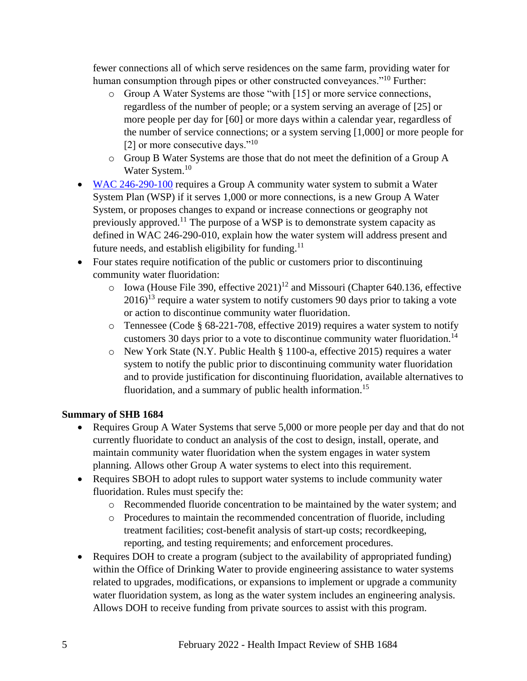fewer connections all of which serve residences on the same farm, providing water for human consumption through pipes or other constructed conveyances."<sup>10</sup> Further:

- o Group A Water Systems are those "with [15] or more service connections, regardless of the number of people; or a system serving an average of [25] or more people per day for [60] or more days within a calendar year, regardless of the number of service connections; or a system serving [1,000] or more people for [2] or more consecutive days."<sup>10</sup>
- o Group B Water Systems are those that do not meet the definition of a Group A Water System.<sup>10</sup>
- [WAC 246-290-100](https://app.leg.wa.gov/wac/default.aspx?cite=246-290-100) requires a Group A community water system to submit a Water System Plan (WSP) if it serves 1,000 or more connections, is a new Group A Water System, or proposes changes to expand or increase connections or geography not previously approved.<sup>11</sup> The purpose of a WSP is to demonstrate system capacity as defined in WAC 246-290-010, explain how the water system will address present and future needs, and establish eligibility for funding.<sup>11</sup>
- Four states require notification of the public or customers prior to discontinuing community water fluoridation:
	- $\circ$  Iowa (House File 390, effective 2021)<sup>12</sup> and Missouri (Chapter 640.136, effective  $2016$ <sup>13</sup> require a water system to notify customers 90 days prior to taking a vote or action to discontinue community water fluoridation.
	- o Tennessee (Code § 68-221-708, effective 2019) requires a water system to notify customers 30 days prior to a vote to discontinue community water fluoridation.<sup>14</sup>
	- o New York State (N.Y. Public Health § 1100-a, effective 2015) requires a water system to notify the public prior to discontinuing community water fluoridation and to provide justification for discontinuing fluoridation, available alternatives to fluoridation, and a summary of public health information.<sup>15</sup>

# **Summary of SHB 1684**

- Requires Group A Water Systems that serve 5,000 or more people per day and that do not currently fluoridate to conduct an analysis of the cost to design, install, operate, and maintain community water fluoridation when the system engages in water system planning. Allows other Group A water systems to elect into this requirement.
- Requires SBOH to adopt rules to support water systems to include community water fluoridation. Rules must specify the:
	- o Recommended fluoride concentration to be maintained by the water system; and
	- o Procedures to maintain the recommended concentration of fluoride, including treatment facilities; cost-benefit analysis of start-up costs; recordkeeping, reporting, and testing requirements; and enforcement procedures.
- Requires DOH to create a program (subject to the availability of appropriated funding) within the Office of Drinking Water to provide engineering assistance to water systems related to upgrades, modifications, or expansions to implement or upgrade a community water fluoridation system, as long as the water system includes an engineering analysis. Allows DOH to receive funding from private sources to assist with this program.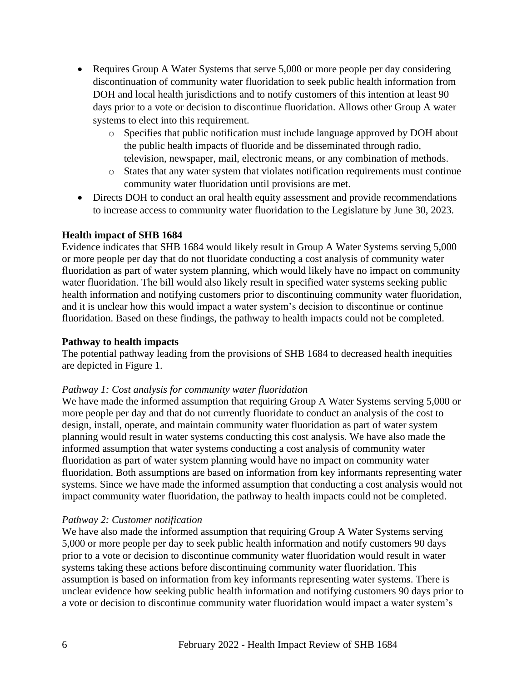- Requires Group A Water Systems that serve 5,000 or more people per day considering discontinuation of community water fluoridation to seek public health information from DOH and local health jurisdictions and to notify customers of this intention at least 90 days prior to a vote or decision to discontinue fluoridation. Allows other Group A water systems to elect into this requirement.
	- o Specifies that public notification must include language approved by DOH about the public health impacts of fluoride and be disseminated through radio, television, newspaper, mail, electronic means, or any combination of methods.
	- o States that any water system that violates notification requirements must continue community water fluoridation until provisions are met.
- Directs DOH to conduct an oral health equity assessment and provide recommendations to increase access to community water fluoridation to the Legislature by June 30, 2023.

#### **Health impact of SHB 1684**

Evidence indicates that SHB 1684 would likely result in Group A Water Systems serving 5,000 or more people per day that do not fluoridate conducting a cost analysis of community water fluoridation as part of water system planning, which would likely have no impact on community water fluoridation. The bill would also likely result in specified water systems seeking public health information and notifying customers prior to discontinuing community water fluoridation, and it is unclear how this would impact a water system's decision to discontinue or continue fluoridation. Based on these findings, the pathway to health impacts could not be completed.

#### **Pathway to health impacts**

The potential pathway leading from the provisions of SHB 1684 to decreased health inequities are depicted in Figure 1.

#### *Pathway 1: Cost analysis for community water fluoridation*

We have made the informed assumption that requiring Group A Water Systems serving 5,000 or more people per day and that do not currently fluoridate to conduct an analysis of the cost to design, install, operate, and maintain community water fluoridation as part of water system planning would result in water systems conducting this cost analysis. We have also made the informed assumption that water systems conducting a cost analysis of community water fluoridation as part of water system planning would have no impact on community water fluoridation. Both assumptions are based on information from key informants representing water systems. Since we have made the informed assumption that conducting a cost analysis would not impact community water fluoridation, the pathway to health impacts could not be completed.

#### *Pathway 2: Customer notification*

We have also made the informed assumption that requiring Group A Water Systems serving 5,000 or more people per day to seek public health information and notify customers 90 days prior to a vote or decision to discontinue community water fluoridation would result in water systems taking these actions before discontinuing community water fluoridation. This assumption is based on information from key informants representing water systems. There is unclear evidence how seeking public health information and notifying customers 90 days prior to a vote or decision to discontinue community water fluoridation would impact a water system's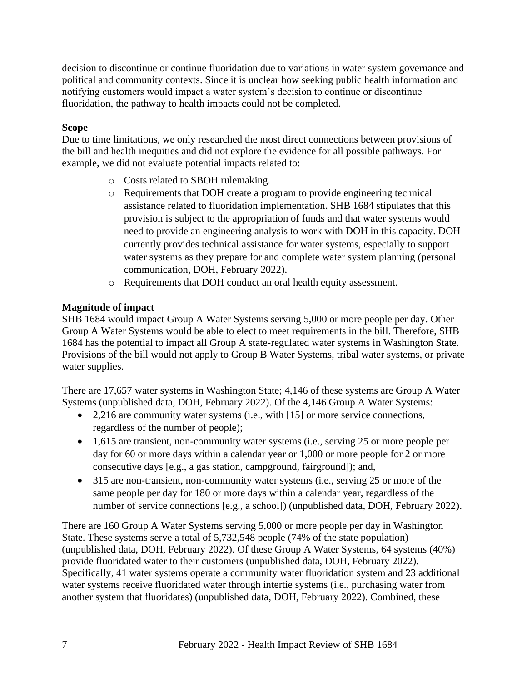decision to discontinue or continue fluoridation due to variations in water system governance and political and community contexts. Since it is unclear how seeking public health information and notifying customers would impact a water system's decision to continue or discontinue fluoridation, the pathway to health impacts could not be completed.

### **Scope**

Due to time limitations, we only researched the most direct connections between provisions of the bill and health inequities and did not explore the evidence for all possible pathways. For example, we did not evaluate potential impacts related to:

- o Costs related to SBOH rulemaking.
- o Requirements that DOH create a program to provide engineering technical assistance related to fluoridation implementation. SHB 1684 stipulates that this provision is subject to the appropriation of funds and that water systems would need to provide an engineering analysis to work with DOH in this capacity. DOH currently provides technical assistance for water systems, especially to support water systems as they prepare for and complete water system planning (personal communication, DOH, February 2022).
- o Requirements that DOH conduct an oral health equity assessment.

### **Magnitude of impact**

SHB 1684 would impact Group A Water Systems serving 5,000 or more people per day. Other Group A Water Systems would be able to elect to meet requirements in the bill. Therefore, SHB 1684 has the potential to impact all Group A state-regulated water systems in Washington State. Provisions of the bill would not apply to Group B Water Systems, tribal water systems, or private water supplies.

There are 17,657 water systems in Washington State; 4,146 of these systems are Group A Water Systems (unpublished data, DOH, February 2022). Of the 4,146 Group A Water Systems:

- 2,216 are community water systems (i.e., with [15] or more service connections, regardless of the number of people);
- 1,615 are transient, non-community water systems (i.e., serving 25 or more people per day for 60 or more days within a calendar year or 1,000 or more people for 2 or more consecutive days [e.g., a gas station, campground, fairground]); and,
- 315 are non-transient, non-community water systems (i.e., serving 25 or more of the same people per day for 180 or more days within a calendar year, regardless of the number of service connections [e.g., a school]) (unpublished data, DOH, February 2022).

There are 160 Group A Water Systems serving 5,000 or more people per day in Washington State. These systems serve a total of 5,732,548 people (74% of the state population) (unpublished data, DOH, February 2022). Of these Group A Water Systems, 64 systems (40%) provide fluoridated water to their customers (unpublished data, DOH, February 2022). Specifically, 41 water systems operate a community water fluoridation system and 23 additional water systems receive fluoridated water through intertie systems (i.e., purchasing water from another system that fluoridates) (unpublished data, DOH, February 2022). Combined, these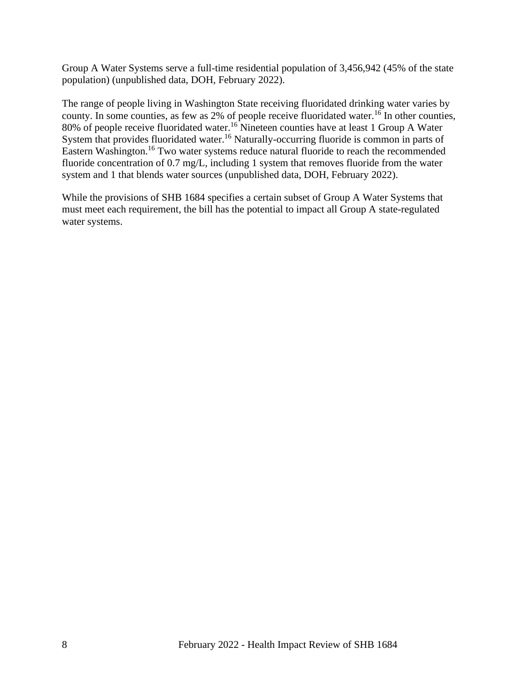Group A Water Systems serve a full-time residential population of 3,456,942 (45% of the state population) (unpublished data, DOH, February 2022).

The range of people living in Washington State receiving fluoridated drinking water varies by county. In some counties, as few as  $2\%$  of people receive fluoridated water.<sup>16</sup> In other counties, 80% of people receive fluoridated water.<sup>16</sup> Nineteen counties have at least 1 Group A Water System that provides fluoridated water.<sup>16</sup> Naturally-occurring fluoride is common in parts of Eastern Washington.<sup>16</sup> Two water systems reduce natural fluoride to reach the recommended fluoride concentration of 0.7 mg/L, including 1 system that removes fluoride from the water system and 1 that blends water sources (unpublished data, DOH, February 2022).

<span id="page-10-0"></span>While the provisions of SHB 1684 specifies a certain subset of Group A Water Systems that must meet each requirement, the bill has the potential to impact all Group A state-regulated water systems.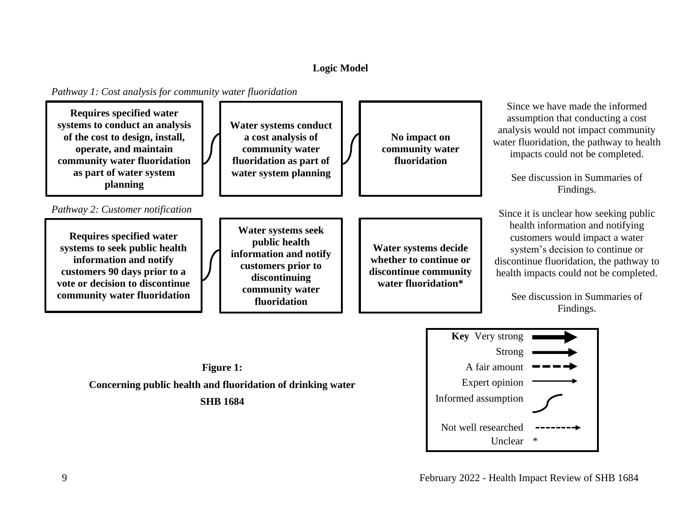# **Logic Model**

*Pathway 1: Cost analysis for community water fluoridation*



**SHB 1684**

Unclear \*

Not well researched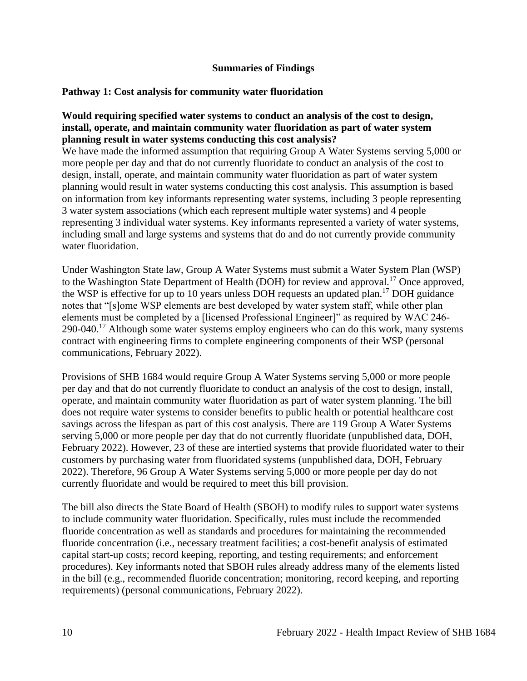#### **Summaries of Findings**

#### <span id="page-12-0"></span>**Pathway 1: Cost analysis for community water fluoridation**

#### **Would requiring specified water systems to conduct an analysis of the cost to design, install, operate, and maintain community water fluoridation as part of water system planning result in water systems conducting this cost analysis?**

We have made the informed assumption that requiring Group A Water Systems serving 5,000 or more people per day and that do not currently fluoridate to conduct an analysis of the cost to design, install, operate, and maintain community water fluoridation as part of water system planning would result in water systems conducting this cost analysis. This assumption is based on information from key informants representing water systems, including 3 people representing 3 water system associations (which each represent multiple water systems) and 4 people representing 3 individual water systems. Key informants represented a variety of water systems, including small and large systems and systems that do and do not currently provide community water fluoridation.

Under Washington State law, Group A Water Systems must submit a Water System Plan (WSP) to the Washington State Department of Health (DOH) for review and approval.<sup>17</sup> Once approved, the WSP is effective for up to 10 years unless DOH requests an updated plan.<sup>17</sup> DOH guidance notes that "[s]ome WSP elements are best developed by water system staff, while other plan elements must be completed by a [licensed Professional Engineer]" as required by WAC 246- 290-040.<sup>17</sup> Although some water systems employ engineers who can do this work, many systems contract with engineering firms to complete engineering components of their WSP (personal communications, February 2022).

Provisions of SHB 1684 would require Group A Water Systems serving 5,000 or more people per day and that do not currently fluoridate to conduct an analysis of the cost to design, install, operate, and maintain community water fluoridation as part of water system planning. The bill does not require water systems to consider benefits to public health or potential healthcare cost savings across the lifespan as part of this cost analysis. There are 119 Group A Water Systems serving 5,000 or more people per day that do not currently fluoridate (unpublished data, DOH, February 2022). However, 23 of these are intertied systems that provide fluoridated water to their customers by purchasing water from fluoridated systems (unpublished data, DOH, February 2022). Therefore, 96 Group A Water Systems serving 5,000 or more people per day do not currently fluoridate and would be required to meet this bill provision.

The bill also directs the State Board of Health (SBOH) to modify rules to support water systems to include community water fluoridation. Specifically, rules must include the recommended fluoride concentration as well as standards and procedures for maintaining the recommended fluoride concentration (i.e., necessary treatment facilities; a cost-benefit analysis of estimated capital start-up costs; record keeping, reporting, and testing requirements; and enforcement procedures). Key informants noted that SBOH rules already address many of the elements listed in the bill (e.g., recommended fluoride concentration; monitoring, record keeping, and reporting requirements) (personal communications, February 2022).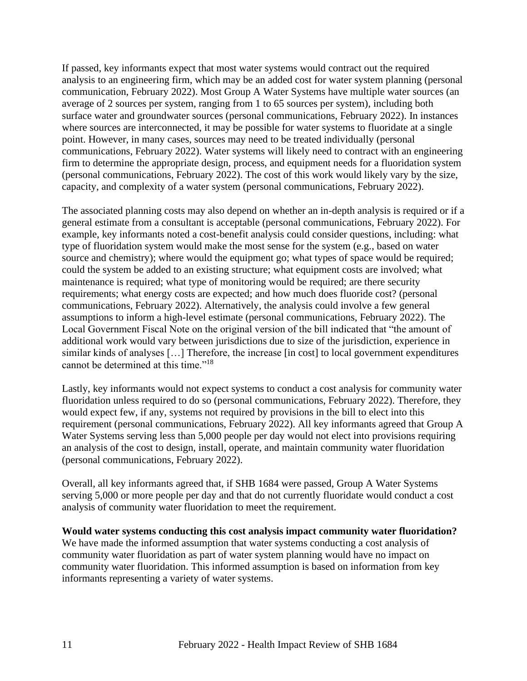If passed, key informants expect that most water systems would contract out the required analysis to an engineering firm, which may be an added cost for water system planning (personal communication, February 2022). Most Group A Water Systems have multiple water sources (an average of 2 sources per system, ranging from 1 to 65 sources per system), including both surface water and groundwater sources (personal communications, February 2022). In instances where sources are interconnected, it may be possible for water systems to fluoridate at a single point. However, in many cases, sources may need to be treated individually (personal communications, February 2022). Water systems will likely need to contract with an engineering firm to determine the appropriate design, process, and equipment needs for a fluoridation system (personal communications, February 2022). The cost of this work would likely vary by the size, capacity, and complexity of a water system (personal communications, February 2022).

The associated planning costs may also depend on whether an in-depth analysis is required or if a general estimate from a consultant is acceptable (personal communications, February 2022). For example, key informants noted a cost-benefit analysis could consider questions, including: what type of fluoridation system would make the most sense for the system (e.g., based on water source and chemistry); where would the equipment go; what types of space would be required; could the system be added to an existing structure; what equipment costs are involved; what maintenance is required; what type of monitoring would be required; are there security requirements; what energy costs are expected; and how much does fluoride cost? (personal communications, February 2022). Alternatively, the analysis could involve a few general assumptions to inform a high-level estimate (personal communications, February 2022). The Local Government Fiscal Note on the original version of the bill indicated that "the amount of additional work would vary between jurisdictions due to size of the jurisdiction, experience in similar kinds of analyses […] Therefore, the increase [in cost] to local government expenditures cannot be determined at this time."<sup>18</sup>

Lastly, key informants would not expect systems to conduct a cost analysis for community water fluoridation unless required to do so (personal communications, February 2022). Therefore, they would expect few, if any, systems not required by provisions in the bill to elect into this requirement (personal communications, February 2022). All key informants agreed that Group A Water Systems serving less than 5,000 people per day would not elect into provisions requiring an analysis of the cost to design, install, operate, and maintain community water fluoridation (personal communications, February 2022).

Overall, all key informants agreed that, if SHB 1684 were passed, Group A Water Systems serving 5,000 or more people per day and that do not currently fluoridate would conduct a cost analysis of community water fluoridation to meet the requirement.

#### **Would water systems conducting this cost analysis impact community water fluoridation?**

We have made the informed assumption that water systems conducting a cost analysis of community water fluoridation as part of water system planning would have no impact on community water fluoridation. This informed assumption is based on information from key informants representing a variety of water systems.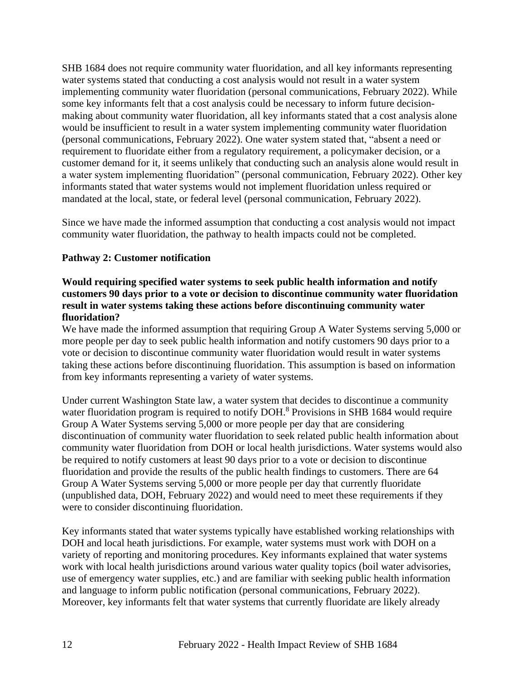SHB 1684 does not require community water fluoridation, and all key informants representing water systems stated that conducting a cost analysis would not result in a water system implementing community water fluoridation (personal communications, February 2022). While some key informants felt that a cost analysis could be necessary to inform future decisionmaking about community water fluoridation, all key informants stated that a cost analysis alone would be insufficient to result in a water system implementing community water fluoridation (personal communications, February 2022). One water system stated that, "absent a need or requirement to fluoridate either from a regulatory requirement, a policymaker decision, or a customer demand for it, it seems unlikely that conducting such an analysis alone would result in a water system implementing fluoridation" (personal communication, February 2022). Other key informants stated that water systems would not implement fluoridation unless required or mandated at the local, state, or federal level (personal communication, February 2022).

Since we have made the informed assumption that conducting a cost analysis would not impact community water fluoridation, the pathway to health impacts could not be completed.

### **Pathway 2: Customer notification**

#### **Would requiring specified water systems to seek public health information and notify customers 90 days prior to a vote or decision to discontinue community water fluoridation result in water systems taking these actions before discontinuing community water fluoridation?**

We have made the informed assumption that requiring Group A Water Systems serving 5,000 or more people per day to seek public health information and notify customers 90 days prior to a vote or decision to discontinue community water fluoridation would result in water systems taking these actions before discontinuing fluoridation. This assumption is based on information from key informants representing a variety of water systems.

Under current Washington State law, a water system that decides to discontinue a community water fluoridation program is required to notify DOH.<sup>8</sup> Provisions in SHB 1684 would require Group A Water Systems serving 5,000 or more people per day that are considering discontinuation of community water fluoridation to seek related public health information about community water fluoridation from DOH or local health jurisdictions. Water systems would also be required to notify customers at least 90 days prior to a vote or decision to discontinue fluoridation and provide the results of the public health findings to customers. There are 64 Group A Water Systems serving 5,000 or more people per day that currently fluoridate (unpublished data, DOH, February 2022) and would need to meet these requirements if they were to consider discontinuing fluoridation.

Key informants stated that water systems typically have established working relationships with DOH and local heath jurisdictions. For example, water systems must work with DOH on a variety of reporting and monitoring procedures. Key informants explained that water systems work with local health jurisdictions around various water quality topics (boil water advisories, use of emergency water supplies, etc.) and are familiar with seeking public health information and language to inform public notification (personal communications, February 2022). Moreover, key informants felt that water systems that currently fluoridate are likely already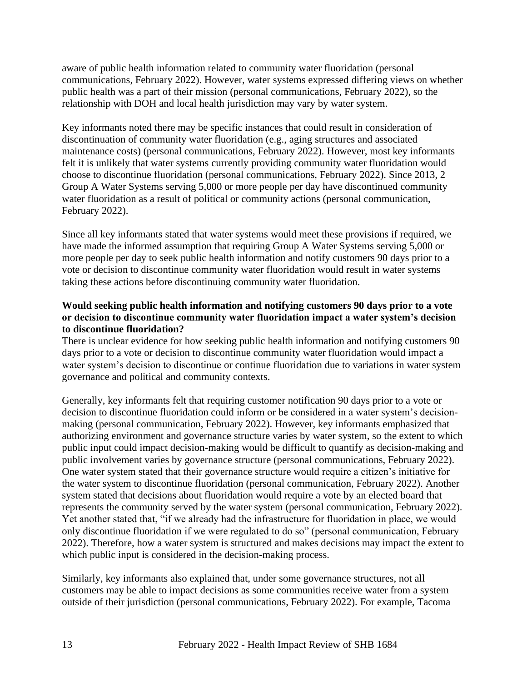aware of public health information related to community water fluoridation (personal communications, February 2022). However, water systems expressed differing views on whether public health was a part of their mission (personal communications, February 2022), so the relationship with DOH and local health jurisdiction may vary by water system.

Key informants noted there may be specific instances that could result in consideration of discontinuation of community water fluoridation (e.g., aging structures and associated maintenance costs) (personal communications, February 2022). However, most key informants felt it is unlikely that water systems currently providing community water fluoridation would choose to discontinue fluoridation (personal communications, February 2022). Since 2013, 2 Group A Water Systems serving 5,000 or more people per day have discontinued community water fluoridation as a result of political or community actions (personal communication, February 2022).

Since all key informants stated that water systems would meet these provisions if required, we have made the informed assumption that requiring Group A Water Systems serving 5,000 or more people per day to seek public health information and notify customers 90 days prior to a vote or decision to discontinue community water fluoridation would result in water systems taking these actions before discontinuing community water fluoridation.

### **Would seeking public health information and notifying customers 90 days prior to a vote or decision to discontinue community water fluoridation impact a water system's decision to discontinue fluoridation?**

There is unclear evidence for how seeking public health information and notifying customers 90 days prior to a vote or decision to discontinue community water fluoridation would impact a water system's decision to discontinue or continue fluoridation due to variations in water system governance and political and community contexts.

Generally, key informants felt that requiring customer notification 90 days prior to a vote or decision to discontinue fluoridation could inform or be considered in a water system's decisionmaking (personal communication, February 2022). However, key informants emphasized that authorizing environment and governance structure varies by water system, so the extent to which public input could impact decision-making would be difficult to quantify as decision-making and public involvement varies by governance structure (personal communications, February 2022). One water system stated that their governance structure would require a citizen's initiative for the water system to discontinue fluoridation (personal communication, February 2022). Another system stated that decisions about fluoridation would require a vote by an elected board that represents the community served by the water system (personal communication, February 2022). Yet another stated that, "if we already had the infrastructure for fluoridation in place, we would only discontinue fluoridation if we were regulated to do so" (personal communication, February 2022). Therefore, how a water system is structured and makes decisions may impact the extent to which public input is considered in the decision-making process.

Similarly, key informants also explained that, under some governance structures, not all customers may be able to impact decisions as some communities receive water from a system outside of their jurisdiction (personal communications, February 2022). For example, Tacoma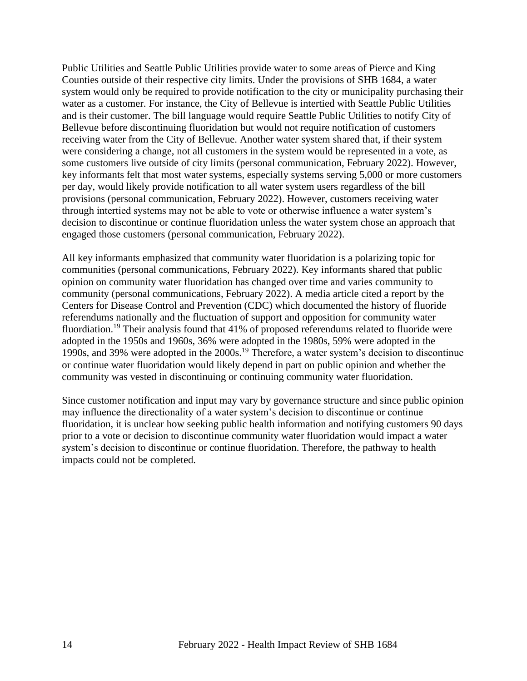Public Utilities and Seattle Public Utilities provide water to some areas of Pierce and King Counties outside of their respective city limits. Under the provisions of SHB 1684, a water system would only be required to provide notification to the city or municipality purchasing their water as a customer. For instance, the City of Bellevue is intertied with Seattle Public Utilities and is their customer. The bill language would require Seattle Public Utilities to notify City of Bellevue before discontinuing fluoridation but would not require notification of customers receiving water from the City of Bellevue. Another water system shared that, if their system were considering a change, not all customers in the system would be represented in a vote, as some customers live outside of city limits (personal communication, February 2022). However, key informants felt that most water systems, especially systems serving 5,000 or more customers per day, would likely provide notification to all water system users regardless of the bill provisions (personal communication, February 2022). However, customers receiving water through intertied systems may not be able to vote or otherwise influence a water system's decision to discontinue or continue fluoridation unless the water system chose an approach that engaged those customers (personal communication, February 2022).

All key informants emphasized that community water fluoridation is a polarizing topic for communities (personal communications, February 2022). Key informants shared that public opinion on community water fluoridation has changed over time and varies community to community (personal communications, February 2022). A media article cited a report by the Centers for Disease Control and Prevention (CDC) which documented the history of fluoride referendums nationally and the fluctuation of support and opposition for community water fluordiation.<sup>19</sup> Their analysis found that 41% of proposed referendums related to fluoride were adopted in the 1950s and 1960s, 36% were adopted in the 1980s, 59% were adopted in the 1990s, and 39% were adopted in the 2000s.<sup>19</sup> Therefore, a water system's decision to discontinue or continue water fluoridation would likely depend in part on public opinion and whether the community was vested in discontinuing or continuing community water fluoridation.

<span id="page-16-0"></span>Since customer notification and input may vary by governance structure and since public opinion may influence the directionality of a water system's decision to discontinue or continue fluoridation, it is unclear how seeking public health information and notifying customers 90 days prior to a vote or decision to discontinue community water fluoridation would impact a water system's decision to discontinue or continue fluoridation. Therefore, the pathway to health impacts could not be completed.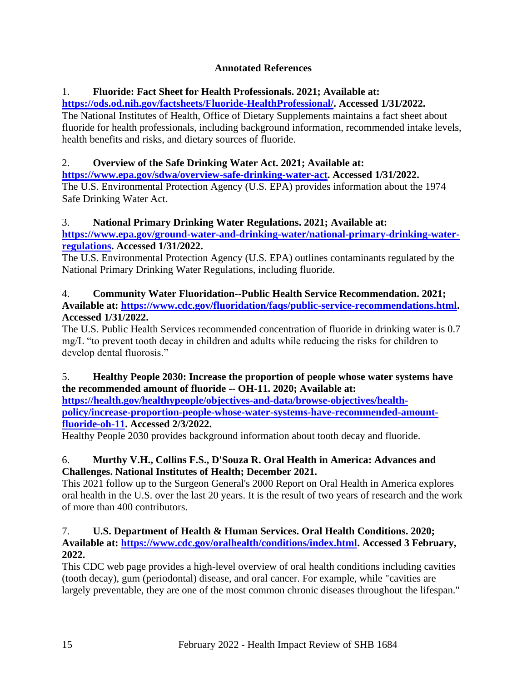# **Annotated References**

# 1. **Fluoride: Fact Sheet for Health Professionals. 2021; Available at:**

**[https://ods.od.nih.gov/factsheets/Fluoride-HealthProfessional/.](https://ods.od.nih.gov/factsheets/Fluoride-HealthProfessional/) Accessed 1/31/2022.**

The National Institutes of Health, Office of Dietary Supplements maintains a fact sheet about fluoride for health professionals, including background information, recommended intake levels, health benefits and risks, and dietary sources of fluoride.

# 2. **Overview of the Safe Drinking Water Act. 2021; Available at:**

**[https://www.epa.gov/sdwa/overview-safe-drinking-water-act.](https://www.epa.gov/sdwa/overview-safe-drinking-water-act) Accessed 1/31/2022.** The U.S. Environmental Protection Agency (U.S. EPA) provides information about the 1974 Safe Drinking Water Act.

# 3. **National Primary Drinking Water Regulations. 2021; Available at:**

**[https://www.epa.gov/ground-water-and-drinking-water/national-primary-drinking-water](https://www.epa.gov/ground-water-and-drinking-water/national-primary-drinking-water-regulations)[regulations.](https://www.epa.gov/ground-water-and-drinking-water/national-primary-drinking-water-regulations) Accessed 1/31/2022.**

The U.S. Environmental Protection Agency (U.S. EPA) outlines contaminants regulated by the National Primary Drinking Water Regulations, including fluoride.

### 4. **Community Water Fluoridation--Public Health Service Recommendation. 2021; Available at: [https://www.cdc.gov/fluoridation/faqs/public-service-recommendations.html.](https://www.cdc.gov/fluoridation/faqs/public-service-recommendations.html) Accessed 1/31/2022.**

The U.S. Public Health Services recommended concentration of fluoride in drinking water is 0.7 mg/L "to prevent tooth decay in children and adults while reducing the risks for children to develop dental fluorosis."

# 5. **Healthy People 2030: Increase the proportion of people whose water systems have the recommended amount of fluoride -- OH-11. 2020; Available at:**

**[https://health.gov/healthypeople/objectives-and-data/browse-objectives/health](https://health.gov/healthypeople/objectives-and-data/browse-objectives/health-policy/increase-proportion-people-whose-water-systems-have-recommended-amount-fluoride-oh-11)[policy/increase-proportion-people-whose-water-systems-have-recommended-amount](https://health.gov/healthypeople/objectives-and-data/browse-objectives/health-policy/increase-proportion-people-whose-water-systems-have-recommended-amount-fluoride-oh-11)[fluoride-oh-11.](https://health.gov/healthypeople/objectives-and-data/browse-objectives/health-policy/increase-proportion-people-whose-water-systems-have-recommended-amount-fluoride-oh-11) Accessed 2/3/2022.**

Healthy People 2030 provides background information about tooth decay and fluoride.

# 6. **Murthy V.H., Collins F.S., D'Souza R. Oral Health in America: Advances and Challenges. National Institutes of Health; December 2021.**

This 2021 follow up to the Surgeon General's 2000 Report on Oral Health in America explores oral health in the U.S. over the last 20 years. It is the result of two years of research and the work of more than 400 contributors.

### 7. **U.S. Department of Health & Human Services. Oral Health Conditions. 2020; Available at: [https://www.cdc.gov/oralhealth/conditions/index.html.](https://www.cdc.gov/oralhealth/conditions/index.html) Accessed 3 February, 2022.**

This CDC web page provides a high-level overview of oral health conditions including cavities (tooth decay), gum (periodontal) disease, and oral cancer. For example, while "cavities are largely preventable, they are one of the most common chronic diseases throughout the lifespan."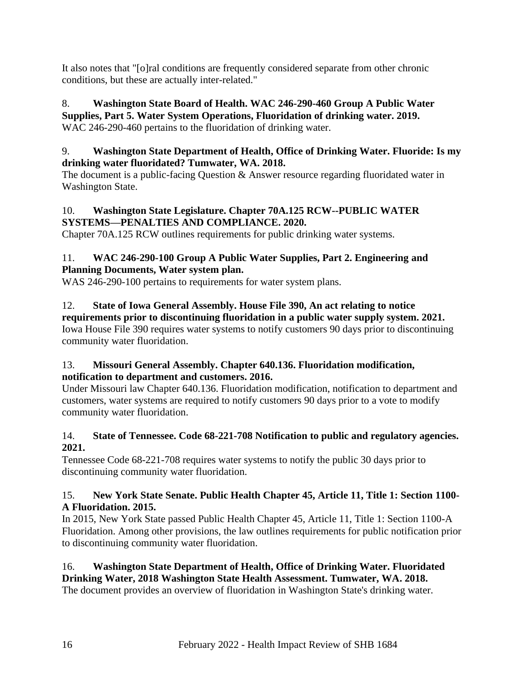It also notes that "[o]ral conditions are frequently considered separate from other chronic conditions, but these are actually inter-related."

# 8. **Washington State Board of Health. WAC 246-290-460 Group A Public Water Supplies, Part 5. Water System Operations, Fluoridation of drinking water. 2019.**

WAC 246-290-460 pertains to the fluoridation of drinking water.

# 9. **Washington State Department of Health, Office of Drinking Water. Fluoride: Is my drinking water fluoridated? Tumwater, WA. 2018.**

The document is a public-facing Question & Answer resource regarding fluoridated water in Washington State.

### 10. **Washington State Legislature. Chapter 70A.125 RCW--PUBLIC WATER SYSTEMS—PENALTIES AND COMPLIANCE. 2020.**

Chapter 70A.125 RCW outlines requirements for public drinking water systems.

# 11. **WAC 246-290-100 Group A Public Water Supplies, Part 2. Engineering and Planning Documents, Water system plan.**

WAS 246-290-100 pertains to requirements for water system plans.

12. **State of Iowa General Assembly. House File 390, An act relating to notice requirements prior to discontinuing fluoridation in a public water supply system. 2021.** Iowa House File 390 requires water systems to notify customers 90 days prior to discontinuing community water fluoridation.

# 13. **Missouri General Assembly. Chapter 640.136. Fluoridation modification, notification to department and customers. 2016.**

Under Missouri law Chapter 640.136. Fluoridation modification, notification to department and customers, water systems are required to notify customers 90 days prior to a vote to modify community water fluoridation.

# 14. **State of Tennessee. Code 68-221-708 Notification to public and regulatory agencies. 2021.**

Tennessee Code 68-221-708 requires water systems to notify the public 30 days prior to discontinuing community water fluoridation.

# 15. **New York State Senate. Public Health Chapter 45, Article 11, Title 1: Section 1100- A Fluoridation. 2015.**

In 2015, New York State passed Public Health Chapter 45, Article 11, Title 1: Section 1100-A Fluoridation. Among other provisions, the law outlines requirements for public notification prior to discontinuing community water fluoridation.

# 16. **Washington State Department of Health, Office of Drinking Water. Fluoridated**

**Drinking Water, 2018 Washington State Health Assessment. Tumwater, WA. 2018.** The document provides an overview of fluoridation in Washington State's drinking water.